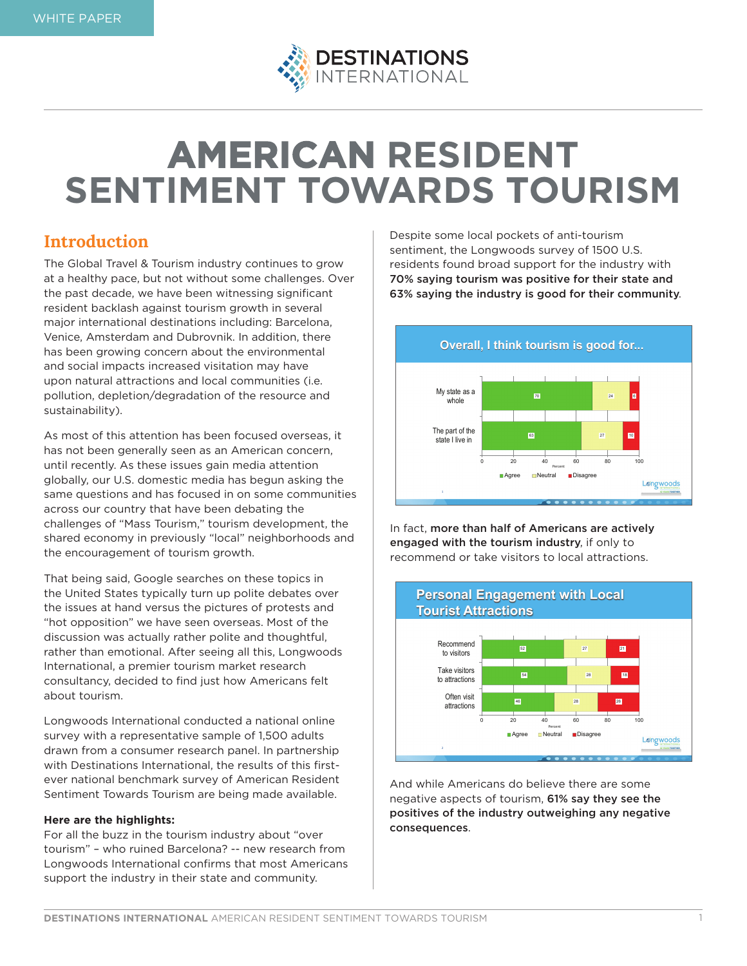

# **AMERICAN RESIDENT SENTIMENT TOWARDS TOURISM**

## **Introduction**

The Global Travel & Tourism industry continues to grow at a healthy pace, but not without some challenges. Over the past decade, we have been witnessing significant resident backlash against tourism growth in several major international destinations including: Barcelona, Venice, Amsterdam and Dubrovnik. In addition, there has been growing concern about the environmental and social impacts increased visitation may have upon natural attractions and local communities (i.e. pollution, depletion/degradation of the resource and sustainability).

As most of this attention has been focused overseas, it has not been generally seen as an American concern, until recently. As these issues gain media attention globally, our U.S. domestic media has begun asking the same questions and has focused in on some communities across our country that have been debating the challenges of "Mass Tourism," tourism development, the shared economy in previously "local" neighborhoods and the encouragement of tourism growth.

That being said, Google searches on these topics in the United States typically turn up polite debates over the issues at hand versus the pictures of protests and "hot opposition" we have seen overseas. Most of the discussion was actually rather polite and thoughtful, rather than emotional. After seeing all this, Longwoods International, a premier tourism market research consultancy, decided to find just how Americans felt about tourism.

Longwoods International conducted a national online survey with a representative sample of 1,500 adults drawn from a consumer research panel. In partnership with Destinations International, the results of this firstever national benchmark survey of American Resident Sentiment Towards Tourism are being made available.

### **Here are the highlights:**

For all the buzz in the tourism industry about "over tourism" – who ruined Barcelona? -- new research from Longwoods International confirms that most Americans support the industry in their state and community.

Despite some local pockets of anti-tourism sentiment, the Longwoods survey of 1500 U.S. residents found broad support for the industry with 70% saying tourism was positive for their state and 63% saying the industry is good for their community.



In fact, more than half of Americans are actively engaged with the tourism industry, if only to recommend or take visitors to local attractions.



And while Americans do believe there are some negative aspects of tourism, 61% say they see the positives of the industry outweighing any negative consequences.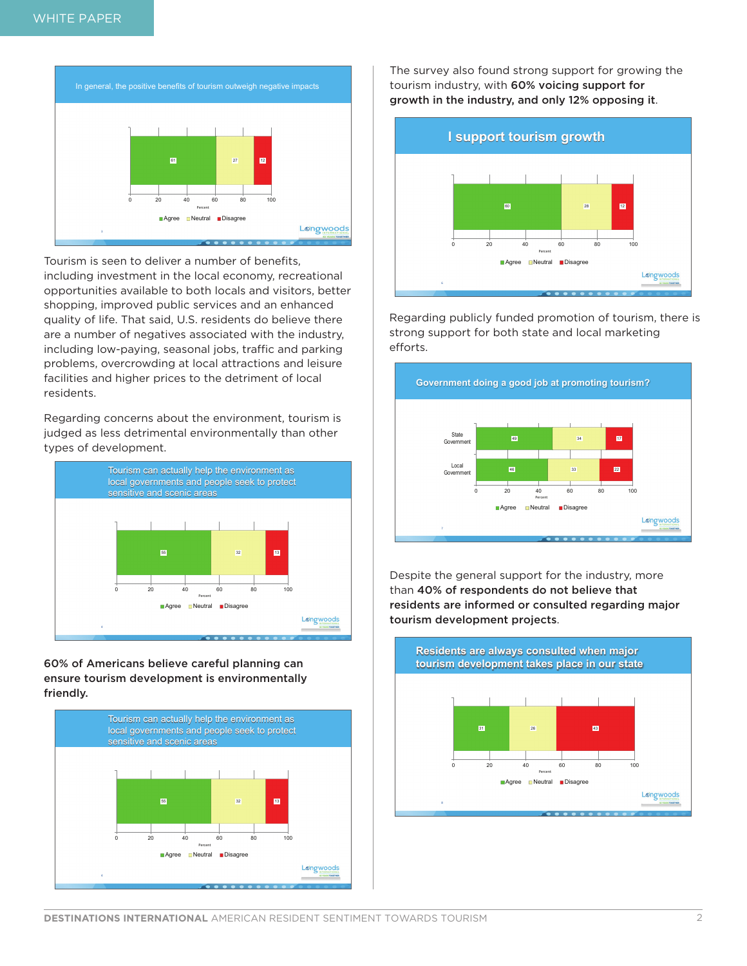

Tourism is seen to deliver a number of benefits, including investment in the local economy, recreational opportunities available to both locals and visitors, better shopping, improved public services and an enhanced quality of life. That said, U.S. residents do believe there are a number of negatives associated with the industry, including low-paying, seasonal jobs, traffic and parking problems, overcrowding at local attractions and leisure facilities and higher prices to the detriment of local residents.

Regarding concerns about the environment, tourism is judged as less detrimental environmentally than other types of development.



60% of Americans believe careful planning can ensure tourism development is environmentally friendly.



The survey also found strong support for growing the tourism industry, with 60% voicing support for growth in the industry, and only 12% opposing it.



Regarding publicly funded promotion of tourism, there is strong support for both state and local marketing efforts.



Despite the general support for the industry, more than 40% of respondents do not believe that residents are informed or consulted regarding major tourism development projects.